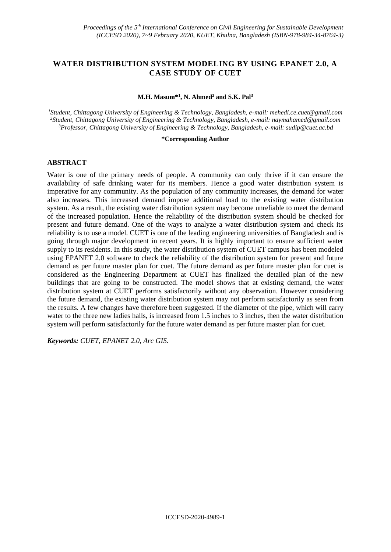# **WATER DISTRIBUTION SYSTEM MODELING BY USING EPANET 2.0, A CASE STUDY OF CUET**

#### **M.H. Masum\*<sup>1</sup> , N. Ahmed<sup>2</sup> and S.K. Pal<sup>3</sup>**

*<sup>1</sup>Student, Chittagong University of Engineering & Technology, Bangladesh, e-mail: mehedi.ce.cuet@gmail.com <sup>2</sup>Student, Chittagong University of Engineering & Technology, Bangladesh, e-mail: [naymahamed@gmail.com](mailto:naymahamed@gmail.com) <sup>3</sup>Professor, Chittagong University of Engineering & Technology, Bangladesh, e-mail: sudip@cuet.ac.bd*

#### **\*Corresponding Author**

### **ABSTRACT**

Water is one of the primary needs of people. A community can only thrive if it can ensure the availability of safe drinking water for its members. Hence a good water distribution system is imperative for any community. As the population of any community increases, the demand for water also increases. This increased demand impose additional load to the existing water distribution system. As a result, the existing water distribution system may become unreliable to meet the demand of the increased population. Hence the reliability of the distribution system should be checked for present and future demand. One of the ways to analyze a water distribution system and check its reliability is to use a model. CUET is one of the leading engineering universities of Bangladesh and is going through major development in recent years. It is highly important to ensure sufficient water supply to its residents. In this study, the water distribution system of CUET campus has been modeled using EPANET 2.0 software to check the reliability of the distribution system for present and future demand as per future master plan for cuet. The future demand as per future master plan for cuet is considered as the Engineering Department at CUET has finalized the detailed plan of the new buildings that are going to be constructed. The model shows that at existing demand, the water distribution system at CUET performs satisfactorily without any observation. However considering the future demand, the existing water distribution system may not perform satisfactorily as seen from the results. A few changes have therefore been suggested. If the diameter of the pipe, which will carry water to the three new ladies halls, is increased from 1.5 inches to 3 inches, then the water distribution system will perform satisfactorily for the future water demand as per future master plan for cuet.

*Keywords: CUET, EPANET 2.0, Arc GIS.*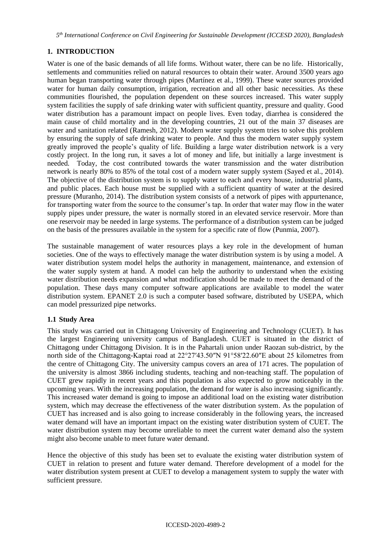*5 th International Conference on Civil Engineering for Sustainable Development (ICCESD 2020), Bangladesh*

# **1. INTRODUCTION**

Water is one of the basic demands of all life forms. Without water, there can be no life. Historically, settlements and communities relied on natural resources to obtain their water. Around 3500 years ago human began transporting water through pipes (Martínez et al., 1999). These water sources provided water for human daily consumption, irrigation, recreation and all other basic necessities. As these communities flourished, the population dependent on these sources increased. This water supply system facilities the supply of safe drinking water with sufficient quantity, pressure and quality. Good water distribution has a paramount impact on people lives. Even today, diarrhea is considered the main cause of child mortality and in the developing countries, 21 out of the main 37 diseases are water and sanitation related (Ramesh, 2012). Modern water supply system tries to solve this problem by ensuring the supply of safe drinking water to people. And thus the modern water supply system greatly improved the people's quality of life. Building a large water distribution network is a very costly project. In the long run, it saves a lot of money and life, but initially a large investment is needed. Today, the cost contributed towards the water transmission and the water distribution network is nearly 80% to 85% of the total cost of a modern water supply system (Sayed et al., 2014). The objective of the distribution system is to supply water to each and every house, industrial plants, and public places. Each house must be supplied with a sufficient quantity of water at the desired pressure (Muranho, 2014). The distribution system consists of a network of pipes with appurtenance, for transporting water from the source to the consumer's tap. In order that water may flow in the water supply pipes under pressure, the water is normally stored in an elevated service reservoir. More than one reservoir may be needed in large systems. The performance of a distribution system can be judged on the basis of the pressures available in the system for a specific rate of flow (Punmia, 2007).

The sustainable management of water resources plays a key role in the development of human societies. One of the ways to effectively manage the water distribution system is by using a model. A water distribution system model helps the authority in management, maintenance, and extension of the water supply system at hand. A model can help the authority to understand when the existing water distribution needs expansion and what modification should be made to meet the demand of the population. These days many computer software applications are available to model the water distribution system. EPANET 2.0 is such a computer based software, distributed by USEPA, which can model pressurized pipe networks.

## **1.1 Study Area**

This study was carried out in Chittagong University of Engineering and Technology (CUET). It has the largest Engineering university campus of Bangladesh. CUET is situated in the district of Chittagong under Chittagong Division. It is in the Pahartali union under Raozan sub-district, by the north side of the Chittagong-Kaptai road at 22°27′43.50″N 91°58′22.60″E about 25 kilometres from the centre of Chittagong City. The university campus covers an area of 171 acres. The population of the university is almost 3866 including students, teaching and non-teaching staff. The population of CUET grew rapidly in recent years and this population is also expected to grow noticeably in the upcoming years. With the increasing population, the demand for water is also increasing significantly. This increased water demand is going to impose an additional load on the existing water distribution system, which may decrease the effectiveness of the water distribution system. As the population of CUET has increased and is also going to increase considerably in the following years, the increased water demand will have an important impact on the existing water distribution system of CUET. The water distribution system may become unreliable to meet the current water demand also the system might also become unable to meet future water demand.

Hence the objective of this study has been set to evaluate the existing water distribution system of CUET in relation to present and future water demand. Therefore development of a model for the water distribution system present at CUET to develop a management system to supply the water with sufficient pressure.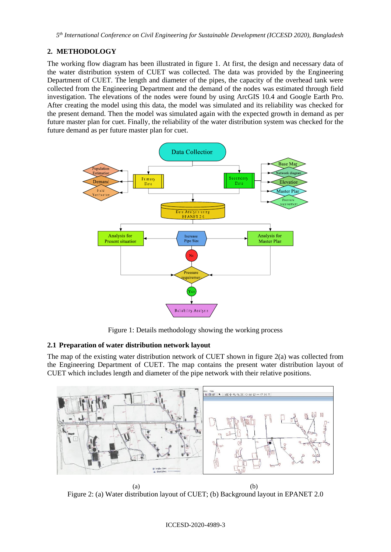# **2. METHODOLOGY**

The working flow diagram has been illustrated in figure 1. At first, the design and necessary data of the water distribution system of CUET was collected. The data was provided by the Engineering Department of CUET. The length and diameter of the pipes, the capacity of the overhead tank were collected from the Engineering Department and the demand of the nodes was estimated through field investigation. The elevations of the nodes were found by using ArcGIS 10.4 and Google Earth Pro. After creating the model using this data, the model was simulated and its reliability was checked for the present demand. Then the model was simulated again with the expected growth in demand as per future master plan for cuet. Finally, the reliability of the water distribution system was checked for the future demand as per future master plan for cuet.



Figure 1: Details methodology showing the working process

## **2.1 Preparation of water distribution network layout**

The map of the existing water distribution network of CUET shown in figure  $2(a)$  was collected from the Engineering Department of CUET. The map contains the present water distribution layout of CUET which includes length and diameter of the pipe network with their relative positions.



Figure 2: (a) Water distribution layout of CUET; (b) Background layout in EPANET 2.0

#### ICCESD-2020-4989-3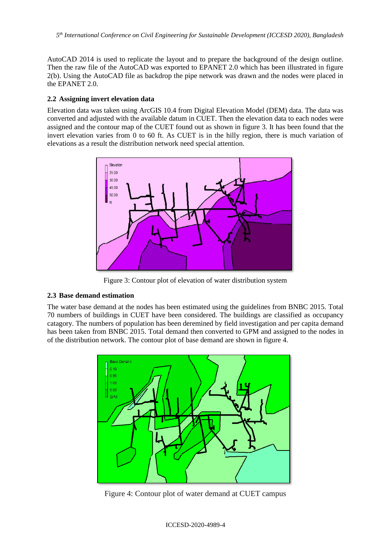AutoCAD 2014 is used to replicate the layout and to prepare the background of the design outline. Then the raw file of the AutoCAD was exported to EPANET 2.0 which has been illustrated in figure 2(b). Using the AutoCAD file as backdrop the pipe network was drawn and the nodes were placed in the EPANET 2.0.

### **2.2 Assigning invert elevation data**

Elevation data was taken using ArcGIS 10.4 from Digital Elevation Model (DEM) data. The data was converted and adjusted with the available datum in CUET. Then the elevation data to each nodes were assigned and the contour map of the CUET found out as shown in figure 3. It has been found that the invert elevation varies from 0 to 60 ft. As CUET is in the hilly region, there is much variation of elevations as a result the distribution network need special attention.



Figure 3: Contour plot of elevation of water distribution system

### **2.3 Base demand estimation**

The water base demand at the nodes has been estimated using the guidelines from BNBC 2015. Total 70 numbers of buildings in CUET have been considered. The buildings are classified as occupancy catagory. The numbers of population has been deremined by field investigation and per capita demand has been taken from BNBC 2015. Total demand then converted to GPM and assigned to the nodes in of the distribution network. The contour plot of base demand are shown in figure 4.



Figure 4: Contour plot of water demand at CUET campus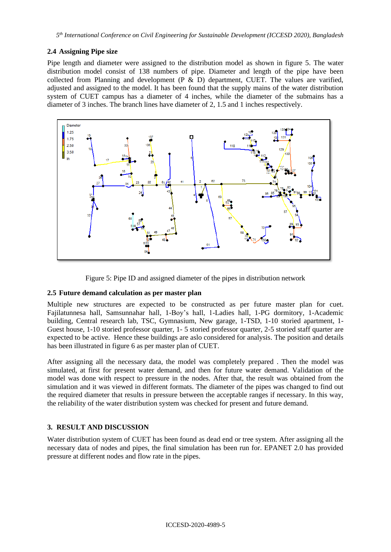### **2.4 Assigning Pipe size**

Pipe length and diameter were assigned to the distribution model as shown in figure 5. The water distribution model consist of 138 numbers of pipe. Diameter and length of the pipe have been collected from Planning and development (P & D) department, CUET. The values are varified, adjusted and assigned to the model. It has been found that the supply mains of the water distribution system of CUET campus has a diameter of 4 inches, while the diameter of the submains has a diameter of 3 inches. The branch lines have diameter of 2, 1.5 and 1 inches respectively.





### **2.5 Future demand calculation as per master plan**

Multiple new structures are expected to be constructed as per future master plan for cuet. Fajilatunnesa hall, Samsunnahar hall, 1-Boy's hall, 1-Ladies hall, 1-PG dormitory, 1-Academic building, Central research lab, TSC, Gymnasium, New garage, 1-TSD, 1-10 storied apartment, 1- Guest house, 1-10 storied professor quarter, 1-5 storied professor quarter, 2-5 storied staff quarter are expected to be active. Hence these buildings are aslo considered for analysis. The position and details has been illustrated in figure 6 as per master plan of CUET.

After assigning all the necessary data, the model was completely prepared . Then the model was simulated, at first for present water demand, and then for future water demand. Validation of the model was done with respect to pressure in the nodes. After that, the result was obtained from the simulation and it was viewed in different formats. The diameter of the pipes was changed to find out the required diameter that results in pressure between the acceptable ranges if necessary. In this way, the reliability of the water distribution system was checked for present and future demand.

### **3. RESULT AND DISCUSSION**

Water distribution system of CUET has been found as dead end or tree system. After assigning all the necessary data of nodes and pipes, the final simulation has been run for. EPANET 2.0 has provided pressure at different nodes and flow rate in the pipes.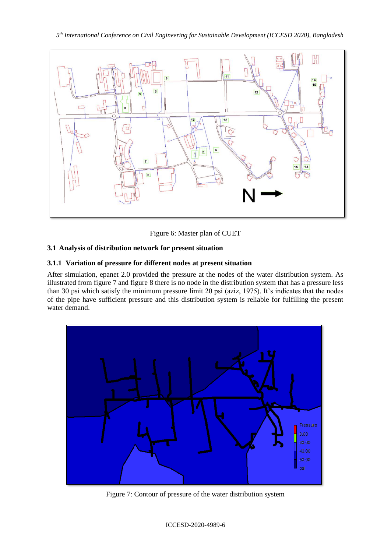*5 th International Conference on Civil Engineering for Sustainable Development (ICCESD 2020), Bangladesh*



Figure 6: Master plan of CUET

# **3.1 Analysis of distribution network for present situation**

# **3.1.1 Variation of pressure for different nodes at present situation**

After simulation, epanet 2.0 provided the pressure at the nodes of the water distribution system. As illustrated from figure 7 and figure 8 there is no node in the distribution system that has a pressure less than 30 psi which satisfy the minimum pressure limit 20 psi (aziz, 1975). It's indicates that the nodes of the pipe have sufficient pressure and this distribution system is reliable for fulfilling the present water demand.



Figure 7: Contour of pressure of the water distribution system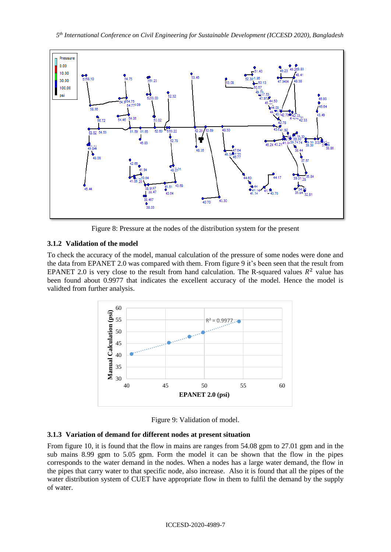

Figure 8: Pressure at the nodes of the distribution system for the present

# **3.1.2 Validation of the model**

To check the accuracy of the model, manual calculation of the pressure of some nodes were done and the data from EPANET 2.0 was compared with them. From figure 9 it's been seen that the result from EPANET 2.0 is very close to the result from hand calculation. The R-squared values  $R^2$  value has been found about 0.9977 that indicates the excellent accuracy of the model. Hence the model is validted from further analysis.



Figure 9: Validation of model.

## **3.1.3 Variation of demand for different nodes at present situation**

From figure 10, it is found that the flow in mains are ranges from 54.08 gpm to 27.01 gpm and in the sub mains 8.99 gpm to 5.05 gpm. Form the model it can be shown that the flow in the pipes corresponds to the water demand in the nodes. When a nodes has a large water demand, the flow in the pipes that carry water to that specific node, also increase. Also it is found that all the pipes of the water distribution system of CUET have appropriate flow in them to fulfil the demand by the supply of water.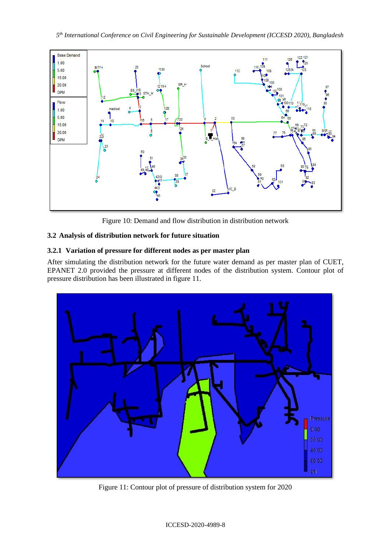

Figure 10: Demand and flow distribution in distribution network

# **3.2 Analysis of distribution network for future situation**

# **3.2.1 Variation of pressure for different nodes as per master plan**

After simulating the distribution network for the future water demand as per master plan of CUET, EPANET 2.0 provided the pressure at different nodes of the distribution system. Contour plot of pressure distribution has been illustrated in figure 11.



Figure 11: Contour plot of pressure of distribution system for 2020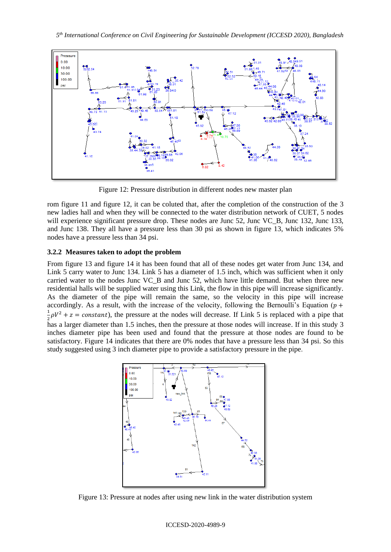

Figure 12: Pressure distribution in different nodes new master plan

rom figure 11 and figure 12, it can be coluted that, after the completion of the construction of the 3 new ladies hall and when they will be connected to the water distribution network of CUET, 5 nodes will experience significant pressure drop. These nodes are Junc 52, Junc VC<sub>\_</sub>B, Junc 132, Junc 133, and Junc 138. They all have a pressure less than 30 psi as shown in figure 13, which indicates 5% nodes have a pressure less than 34 psi.

### **3.2.2 Measures taken to adopt the problem**

From figure 13 and figure 14 it has been found that all of these nodes get water from Junc 134, and Link 5 carry water to Junc 134. Link 5 has a diameter of 1.5 inch, which was sufficient when it only carried water to the nodes Junc VC\_B and Junc 52, which have little demand. But when three new residential halls will be supplied water using this Link, the flow in this pipe will increase significantly. As the diameter of the pipe will remain the same, so the velocity in this pipe will increase accordingly. As a result, with the increase of the velocity, following the Bernoulli's Equation ( $p +$ 1  $\frac{1}{2}\rho V^2 + z = constant$ , the pressure at the nodes will decrease. If Link 5 is replaced with a pipe that has a larger diameter than 1.5 inches, then the pressure at those nodes will increase. If in this study 3 inches diameter pipe has been used and found that the pressure at those nodes are found to be satisfactory. Figure 14 indicates that there are 0% nodes that have a pressure less than 34 psi. So this study suggested using 3 inch diameter pipe to provide a satisfactory pressure in the pipe.



Figure 13: Pressure at nodes after using new link in the water distribution system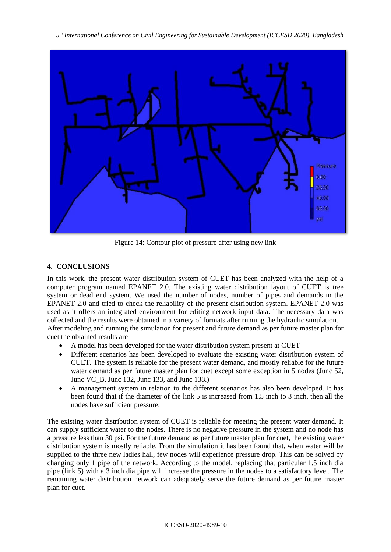*5 th International Conference on Civil Engineering for Sustainable Development (ICCESD 2020), Bangladesh*



Figure 14: Contour plot of pressure after using new link

## **4. CONCLUSIONS**

In this work, the present water distribution system of CUET has been analyzed with the help of a computer program named EPANET 2.0. The existing water distribution layout of CUET is tree system or dead end system. We used the number of nodes, number of pipes and demands in the EPANET 2.0 and tried to check the reliability of the present distribution system. EPANET 2.0 was used as it offers an integrated environment for editing network input data. The necessary data was collected and the results were obtained in a variety of formats after running the hydraulic simulation. After modeling and running the simulation for present and future demand as per future master plan for cuet the obtained results are

- A model has been developed for the water distribution system present at CUET
- Different scenarios has been developed to evaluate the existing water distribution system of CUET. The system is reliable for the present water demand, and mostly reliable for the future water demand as per future master plan for cuet except some exception in 5 nodes (Junc 52, Junc VC\_B, Junc 132, Junc 133, and Junc 138.)
- A management system in relation to the different scenarios has also been developed. It has been found that if the diameter of the link 5 is increased from 1.5 inch to 3 inch, then all the nodes have sufficient pressure.

The existing water distribution system of CUET is reliable for meeting the present water demand. It can supply sufficient water to the nodes. There is no negative pressure in the system and no node has a pressure less than 30 psi. For the future demand as per future master plan for cuet, the existing water distribution system is mostly reliable. From the simulation it has been found that, when water will be supplied to the three new ladies hall, few nodes will experience pressure drop. This can be solved by changing only 1 pipe of the network. According to the model, replacing that particular 1.5 inch dia pipe (link 5) with a 3 inch dia pipe will increase the pressure in the nodes to a satisfactory level. The remaining water distribution network can adequately serve the future demand as per future master plan for cuet.